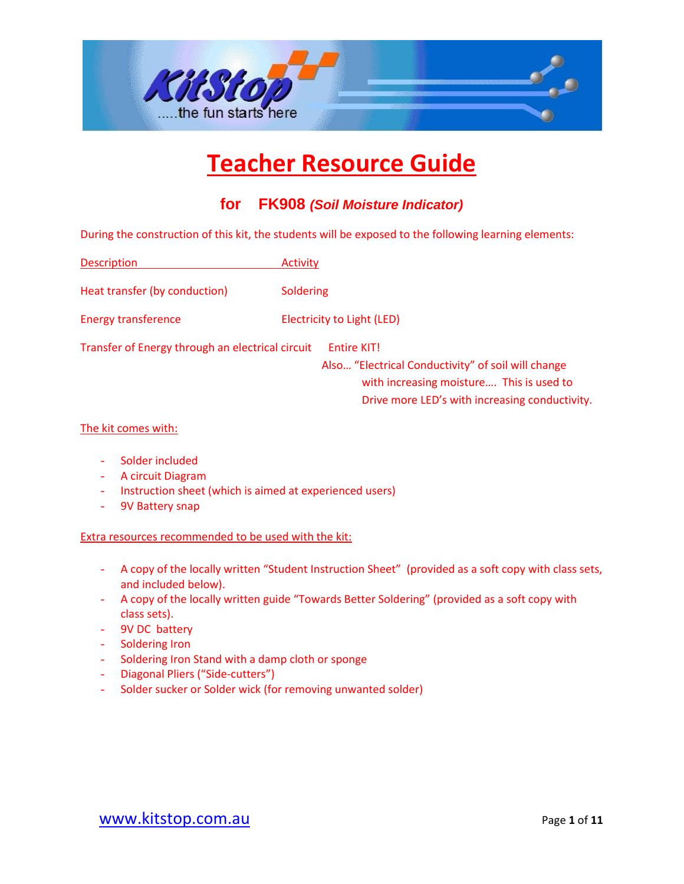

#### **for FK908** *(Soil Moisture Indicator)*

During the construction of this kit, the students will be exposed to the following learning elements:

Description Activity

Heat transfer (by conduction) Soldering

Energy transference Electricity to Light (LED)

Transfer of Energy through an electrical circuit Entire KIT!

Also… "Electrical Conductivity" of soil will change with increasing moisture.... This is used to Drive more LED's with increasing conductivity.

#### The kit comes with:

- Solder included
- A circuit Diagram
- Instruction sheet (which is aimed at experienced users)
- 9V Battery snap

#### Extra resources recommended to be used with the kit:

- A copy of the locally written "Student Instruction Sheet" (provided as a soft copy with class sets, and included below).
- A copy of the locally written guide "Towards Better Soldering" (provided as a soft copy with class sets).
- 9V DC battery
- Soldering Iron
- Soldering Iron Stand with a damp cloth or sponge
- Diagonal Pliers ("Side-cutters")
- Solder sucker or Solder wick (for removing unwanted solder)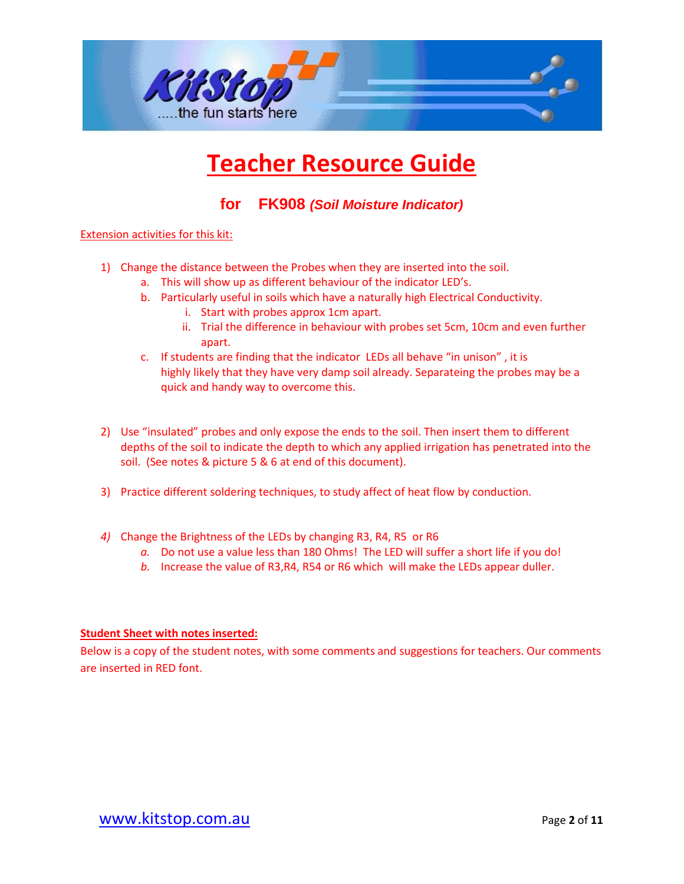

**for FK908** *(Soil Moisture Indicator)*

#### Extension activities for this kit:

- 1) Change the distance between the Probes when they are inserted into the soil.
	- a. This will show up as different behaviour of the indicator LED's.
	- b. Particularly useful in soils which have a naturally high Electrical Conductivity.
		- i. Start with probes approx 1cm apart.
		- ii. Trial the difference in behaviour with probes set 5cm, 10cm and even further apart.
	- c. If students are finding that the indicator LEDs all behave "in unison" , it is highly likely that they have very damp soil already. Separateing the probes may be a quick and handy way to overcome this.
- 2) Use "insulated" probes and only expose the ends to the soil. Then insert them to different depths of the soil to indicate the depth to which any applied irrigation has penetrated into the soil. (See notes & picture 5 & 6 at end of this document).
- 3) Practice different soldering techniques, to study affect of heat flow by conduction.
- *4)* Change the Brightness of the LEDs by changing R3, R4, R5 or R6
	- *a.* Do not use a value less than 180 Ohms! The LED will suffer a short life if you do!
	- *b.* Increase the value of R3,R4, R54 or R6 which will make the LEDs appear duller.

#### **Student Sheet with notes inserted:**

Below is a copy of the student notes, with some comments and suggestions for teachers. Our comments are inserted in RED font.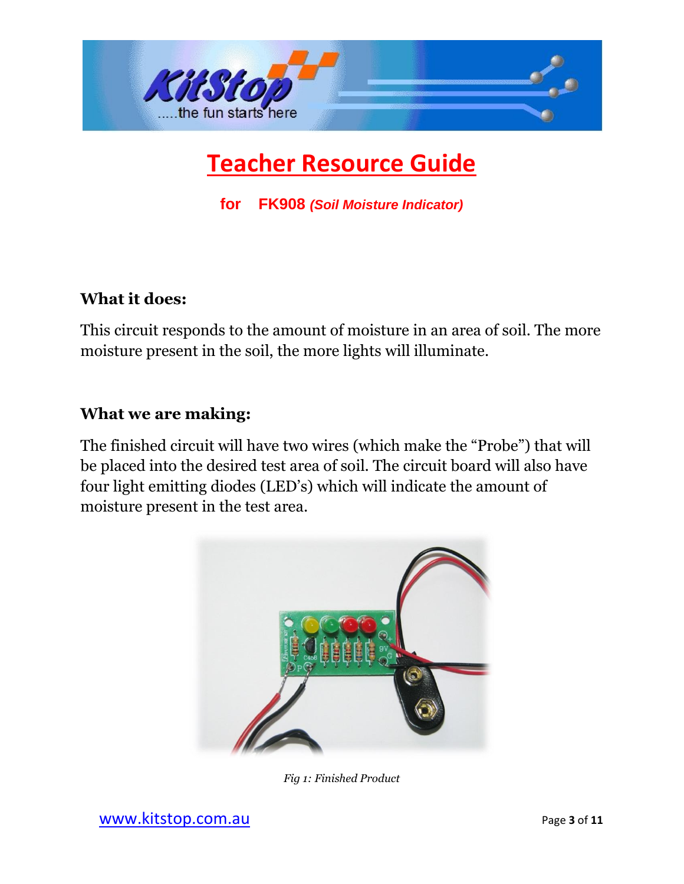

**for FK908** *(Soil Moisture Indicator)*

#### **What it does:**

This circuit responds to the amount of moisture in an area of soil. The more moisture present in the soil, the more lights will illuminate.

### **What we are making:**

The finished circuit will have two wires (which make the "Probe") that will be placed into the desired test area of soil. The circuit board will also have four light emitting diodes (LED's) which will indicate the amount of moisture present in the test area.



*Fig 1: Finished Product*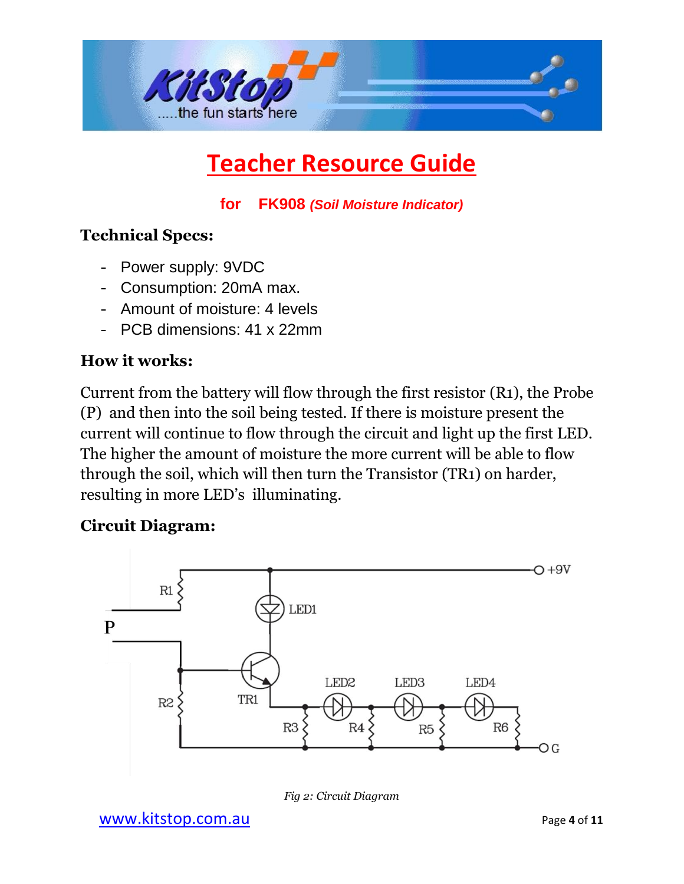

**for FK908** *(Soil Moisture Indicator)*

### **Technical Specs:**

- Power supply: 9VDC
- Consumption: 20mA max.
- Amount of moisture: 4 levels
- PCB dimensions: 41 x 22mm

### **How it works:**

Current from the battery will flow through the first resistor (R1), the Probe (P) and then into the soil being tested. If there is moisture present the current will continue to flow through the circuit and light up the first LED. The higher the amount of moisture the more current will be able to flow through the soil, which will then turn the Transistor (TR1) on harder, resulting in more LED's illuminating.

### **Circuit Diagram:**



*Fig 2: Circuit Diagram*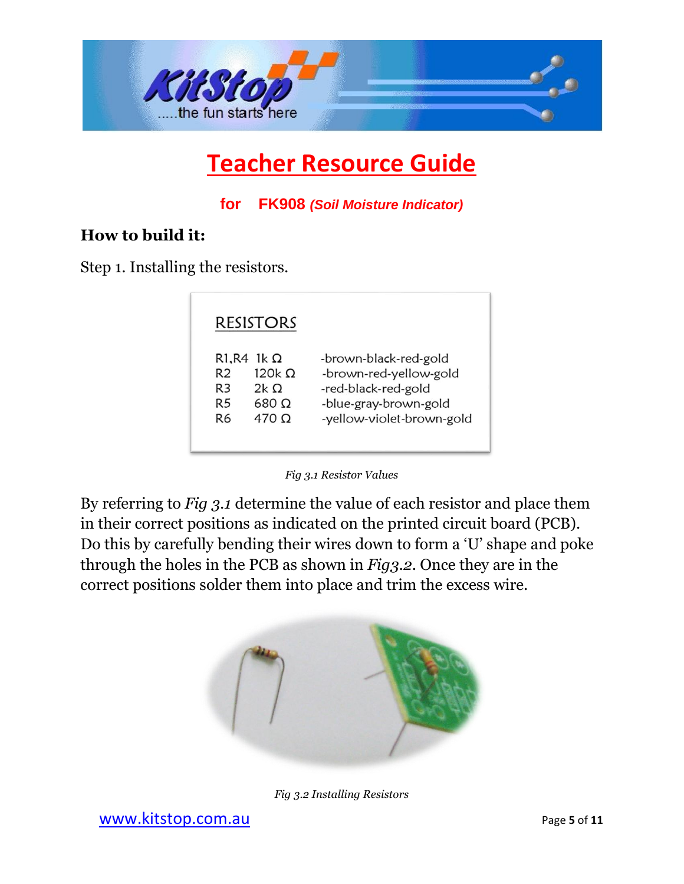

**for FK908** *(Soil Moisture Indicator)*

### **How to build it:**

Step 1. Installing the resistors.

|                                                                                                                                 | <b>RESISTORS</b>                               |                                                                                                                              |  |
|---------------------------------------------------------------------------------------------------------------------------------|------------------------------------------------|------------------------------------------------------------------------------------------------------------------------------|--|
| R <sub>1</sub> , R <sub>4</sub> 1 <sub>k</sub> $\Omega$<br>R <sub>2</sub><br>R <sub>3</sub><br>R <sub>5</sub><br>R <sub>6</sub> | 120k Q<br>2k $\Omega$<br>680 O<br>$470 \Omega$ | -brown-black-red-gold<br>-brown-red-yellow-gold<br>-red-black-red-gold<br>-blue-gray-brown-gold<br>-yellow-violet-brown-gold |  |



By referring to *Fig 3.1* determine the value of each resistor and place them in their correct positions as indicated on the printed circuit board (PCB). Do this by carefully bending their wires down to form a 'U' shape and poke through the holes in the PCB as shown in *Fig3.2*. Once they are in the correct positions solder them into place and trim the excess wire.



*Fig 3.2 Installing Resistors*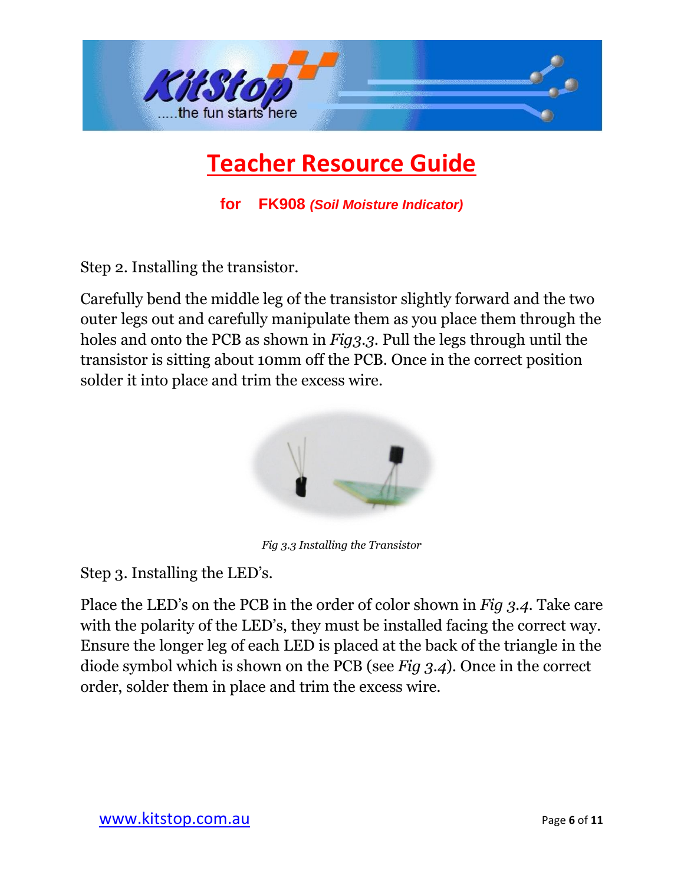

**for FK908** *(Soil Moisture Indicator)*

Step 2. Installing the transistor.

Carefully bend the middle leg of the transistor slightly forward and the two outer legs out and carefully manipulate them as you place them through the holes and onto the PCB as shown in *Fig3.3*. Pull the legs through until the transistor is sitting about 10mm off the PCB. Once in the correct position solder it into place and trim the excess wire.



*Fig 3.3 Installing the Transistor*

Step 3. Installing the LED's.

Place the LED's on the PCB in the order of color shown in *Fig 3.4*. Take care with the polarity of the LED's, they must be installed facing the correct way. Ensure the longer leg of each LED is placed at the back of the triangle in the diode symbol which is shown on the PCB (see *Fig 3.4*). Once in the correct order, solder them in place and trim the excess wire.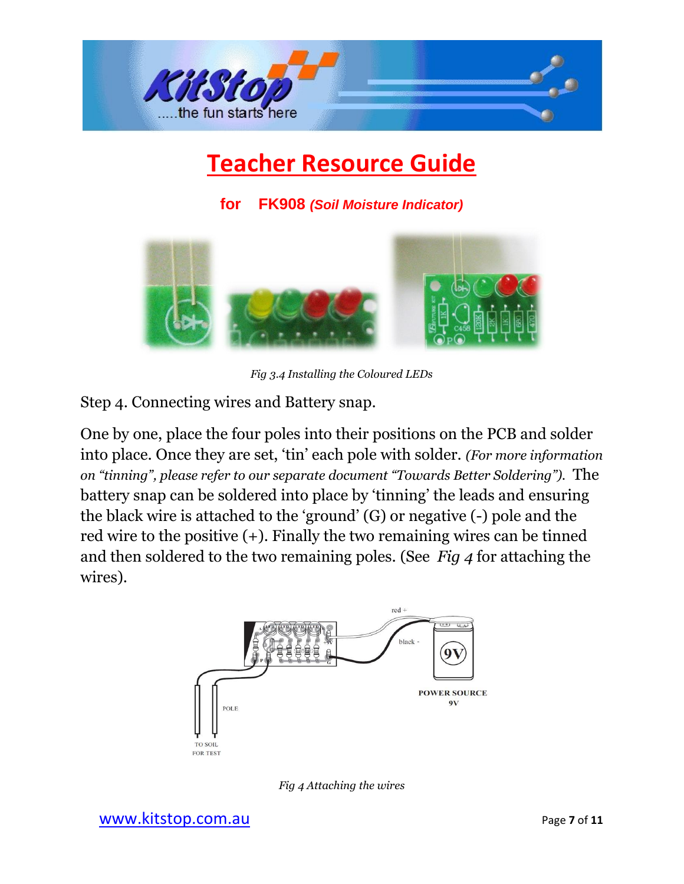

**for FK908** *(Soil Moisture Indicator)*



*Fig 3.4 Installing the Coloured LEDs*

Step 4. Connecting wires and Battery snap.

One by one, place the four poles into their positions on the PCB and solder into place. Once they are set, 'tin' each pole with solder. *(For more information on "tinning", please refer to our separate document "Towards Better Soldering").* The battery snap can be soldered into place by 'tinning' the leads and ensuring the black wire is attached to the 'ground' (G) or negative (-) pole and the red wire to the positive (+). Finally the two remaining wires can be tinned and then soldered to the two remaining poles. (See *Fig 4* for attaching the wires).



*Fig 4 Attaching the wires*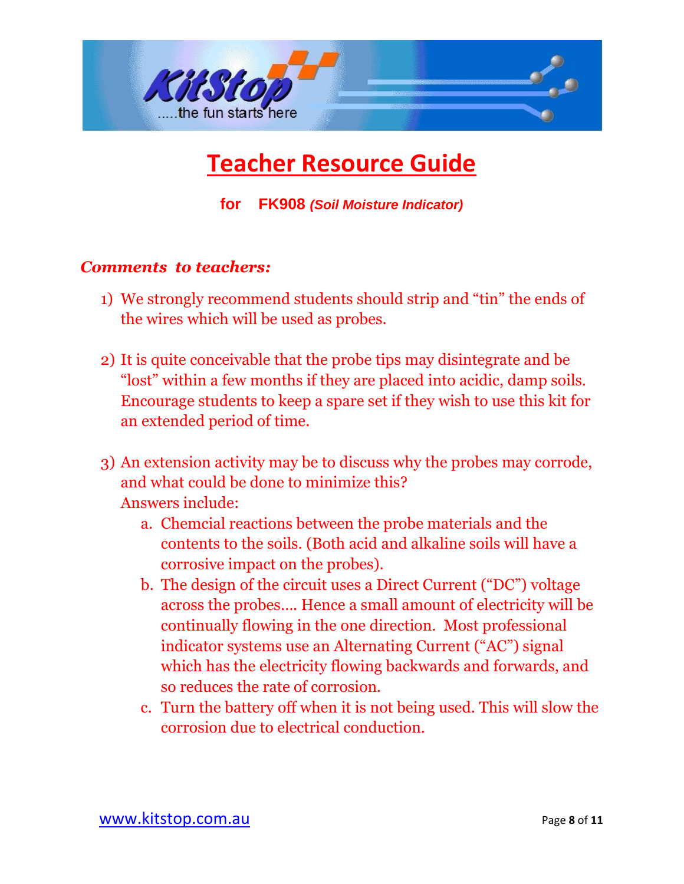

**for FK908** *(Soil Moisture Indicator)*

### *Comments to teachers:*

- 1) We strongly recommend students should strip and "tin" the ends of the wires which will be used as probes.
- 2) It is quite conceivable that the probe tips may disintegrate and be "lost" within a few months if they are placed into acidic, damp soils. Encourage students to keep a spare set if they wish to use this kit for an extended period of time.
- 3) An extension activity may be to discuss why the probes may corrode, and what could be done to minimize this? Answers include:
	- a. Chemcial reactions between the probe materials and the contents to the soils. (Both acid and alkaline soils will have a corrosive impact on the probes).
	- b. The design of the circuit uses a Direct Current ("DC") voltage across the probes…. Hence a small amount of electricity will be continually flowing in the one direction. Most professional indicator systems use an Alternating Current ("AC") signal which has the electricity flowing backwards and forwards, and so reduces the rate of corrosion.
	- c. Turn the battery off when it is not being used. This will slow the corrosion due to electrical conduction.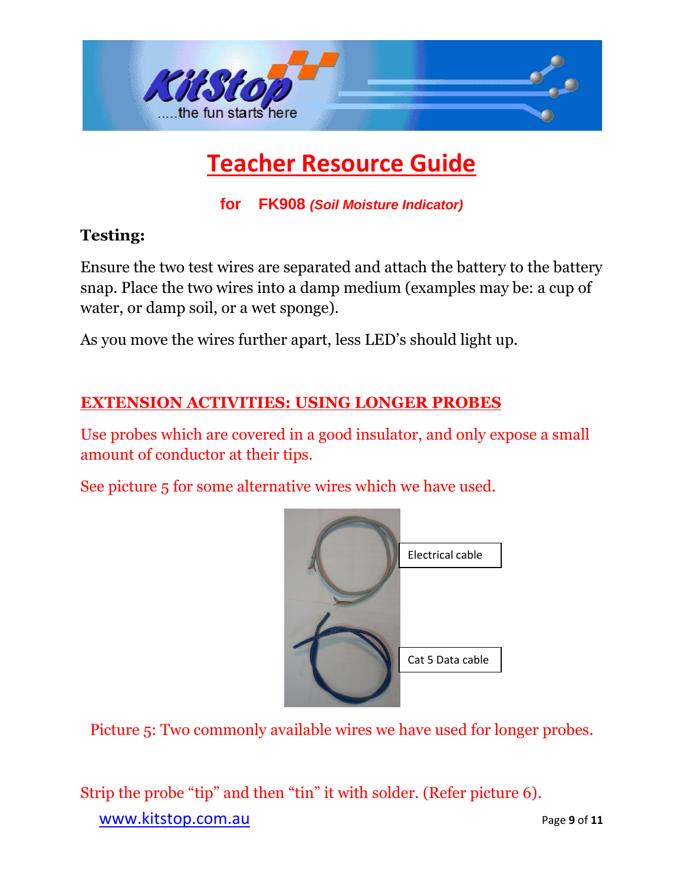

**for FK908** *(Soil Moisture Indicator)*

### **Testing:**

Ensure the two test wires are separated and attach the battery to the battery snap. Place the two wires into a damp medium (examples may be: a cup of water, or damp soil, or a wet sponge).

As you move the wires further apart, less LED's should light up.

### **EXTENSION ACTIVITIES: USING LONGER PROBES**

Use probes which are covered in a good insulator, and only expose a small amount of conductor at their tips.

See picture 5 for some alternative wires which we have used.



Picture 5: Two commonly available wires we have used for longer probes.

[www.kitstop.com.au](http://www.kitstop.com.au/) **Page 9** of 11 Strip the probe "tip" and then "tin" it with solder. (Refer picture 6).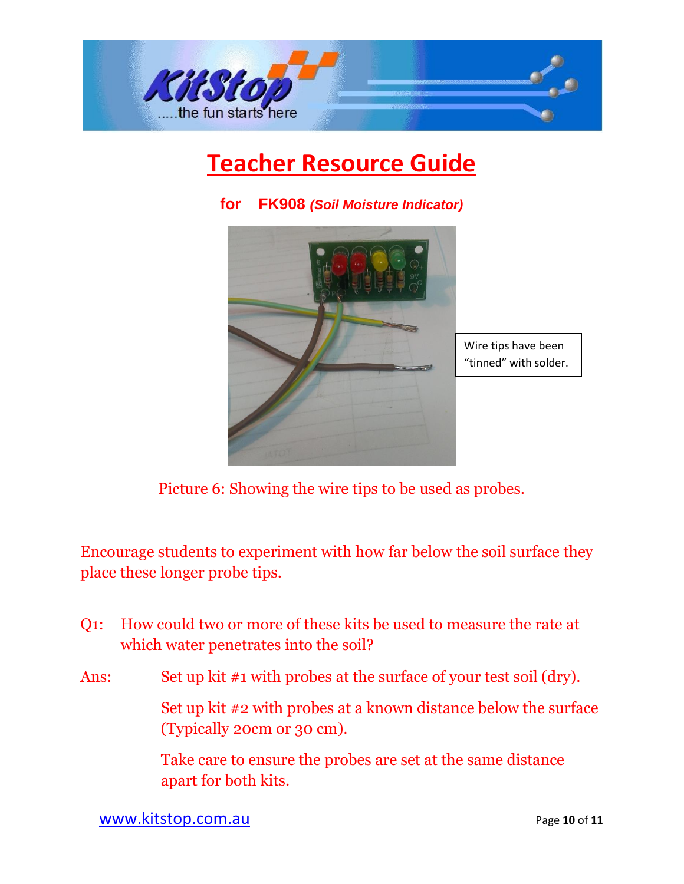



**for FK908** *(Soil Moisture Indicator)*

Picture 6: Showing the wire tips to be used as probes.

Encourage students to experiment with how far below the soil surface they place these longer probe tips.

- Q1: How could two or more of these kits be used to measure the rate at which water penetrates into the soil?
- Ans: Set up kit #1 with probes at the surface of your test soil (dry).

 Set up kit #2 with probes at a known distance below the surface (Typically 20cm or 30 cm).

Take care to ensure the probes are set at the same distance apart for both kits.